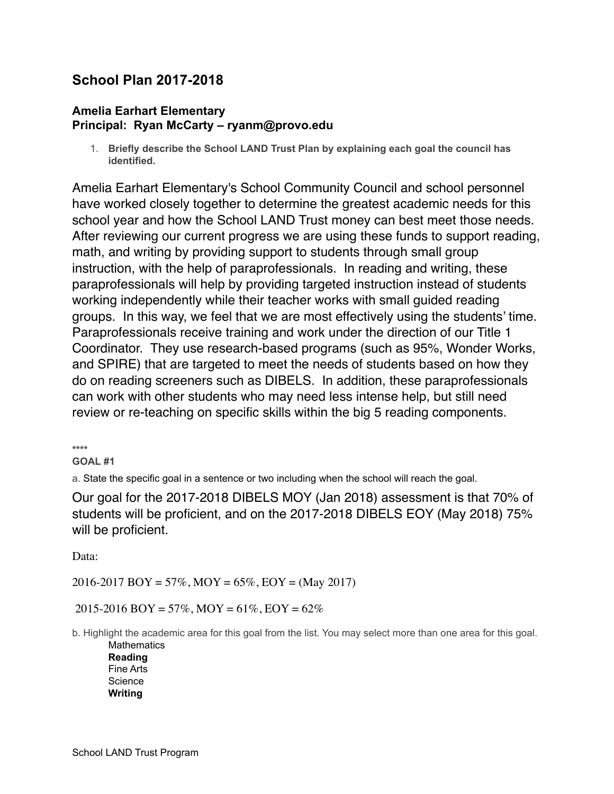# **School Plan 2017-2018**

### **Amelia Earhart Elementary Principal: Ryan McCarty – ryanm@provo.edu**

1. **Briefly describe the School LAND Trust Plan by explaining each goal the council has identified.**

Amelia Earhart Elementary's School Community Council and school personnel have worked closely together to determine the greatest academic needs for this school year and how the School LAND Trust money can best meet those needs. After reviewing our current progress we are using these funds to support reading, math, and writing by providing support to students through small group instruction, with the help of paraprofessionals. In reading and writing, these paraprofessionals will help by providing targeted instruction instead of students working independently while their teacher works with small guided reading groups. In this way, we feel that we are most effectively using the students' time. Paraprofessionals receive training and work under the direction of our Title 1 Coordinator. They use research-based programs (such as 95%, Wonder Works, and SPIRE) that are targeted to meet the needs of students based on how they do on reading screeners such as DIBELS. In addition, these paraprofessionals can work with other students who may need less intense help, but still need review or re-teaching on specific skills within the big 5 reading components.

**\*\*\*\*** 

#### **GOAL #1**

a. State the specific goal in a sentence or two including when the school will reach the goal.

Our goal for the 2017-2018 DIBELS MOY (Jan 2018) assessment is that 70% of students will be proficient, and on the 2017-2018 DIBELS EOY (May 2018) 75% will be proficient.

Data:

 $2016 - 2017$  BOY = 57%, MOY = 65%, EOY = (May 2017)

2015-2016 BOY = 57%, MOY = 61%, EOY = 62%

b. Highlight the academic area for this goal from the list. You may select more than one area for this goal. **Mathematics** 

**Reading**  Fine Arts Science **Writing**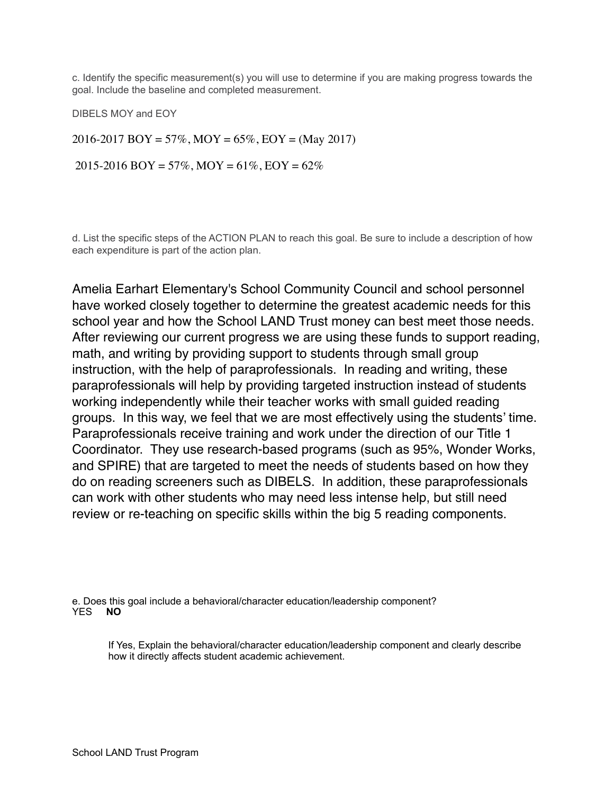c. Identify the specific measurement(s) you will use to determine if you are making progress towards the goal. Include the baseline and completed measurement.

DIBELS MOY and EOY

2016-2017 BOY = 57%, MOY = 65%, EOY = (May 2017)

 $2015-2016$  BOY = 57%, MOY = 61%, EOY = 62%

d. List the specific steps of the ACTION PLAN to reach this goal. Be sure to include a description of how each expenditure is part of the action plan.

Amelia Earhart Elementary's School Community Council and school personnel have worked closely together to determine the greatest academic needs for this school year and how the School LAND Trust money can best meet those needs. After reviewing our current progress we are using these funds to support reading, math, and writing by providing support to students through small group instruction, with the help of paraprofessionals. In reading and writing, these paraprofessionals will help by providing targeted instruction instead of students working independently while their teacher works with small guided reading groups. In this way, we feel that we are most effectively using the students' time. Paraprofessionals receive training and work under the direction of our Title 1 Coordinator. They use research-based programs (such as 95%, Wonder Works, and SPIRE) that are targeted to meet the needs of students based on how they do on reading screeners such as DIBELS. In addition, these paraprofessionals can work with other students who may need less intense help, but still need review or re-teaching on specific skills within the big 5 reading components.

e. Does this goal include a behavioral/character education/leadership component?<br>YES **NO** YES **NO**

If Yes, Explain the behavioral/character education/leadership component and clearly describe how it directly affects student academic achievement.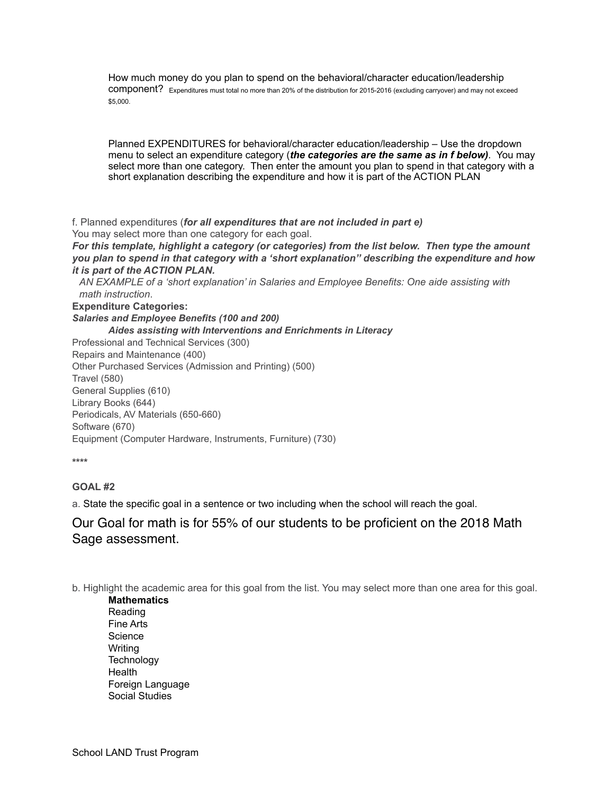How much money do you plan to spend on the behavioral/character education/leadership component? Expenditures must total no more than 20% of the distribution for 2015-2016 (excluding carryover) and may not exceed \$5,000.

Planned EXPENDITURES for behavioral/character education/leadership – Use the dropdown menu to select an expenditure category (*the categories are the same as in f below)*. You may select more than one category. Then enter the amount you plan to spend in that category with a short explanation describing the expenditure and how it is part of the ACTION PLAN

f. Planned expenditures (*for all expenditures that are not included in part e)* You may select more than one category for each goal.

*For this template, highlight a category (or categories) from the list below. Then type the amount you plan to spend in that category with a 'short explanation'' describing the expenditure and how it is part of the ACTION PLAN.* 

*AN EXAMPLE of a 'short explanation' in Salaries and Employee Benefits: One aide assisting with math instruction*.

**Expenditure Categories:**

*Salaries and Employee Benefits (100 and 200)* 

 *Aides assisting with Interventions and Enrichments in Literacy* 

Professional and Technical Services (300) Repairs and Maintenance (400) Other Purchased Services (Admission and Printing) (500) Travel (580) General Supplies (610) Library Books (644) Periodicals, AV Materials (650-660) Software (670) Equipment (Computer Hardware, Instruments, Furniture) (730)

**\*\*\*\*** 

#### **GOAL #2**

a. State the specific goal in a sentence or two including when the school will reach the goal.

## Our Goal for math is for 55% of our students to be proficient on the 2018 Math Sage assessment.

b. Highlight the academic area for this goal from the list. You may select more than one area for this goal.

**Mathematics**  Reading Fine Arts **Science** Writing **Technology** Health Foreign Language Social Studies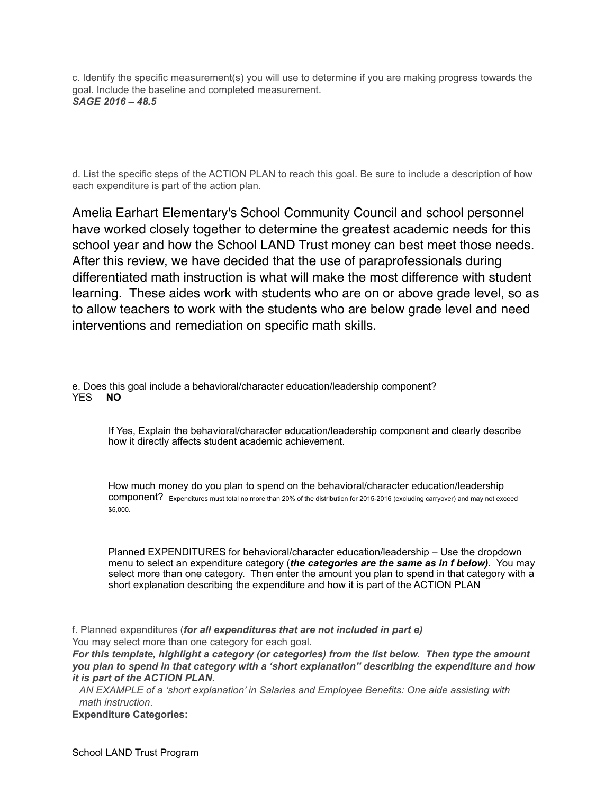c. Identify the specific measurement(s) you will use to determine if you are making progress towards the goal. Include the baseline and completed measurement. *SAGE 2016 – 48.5* 

d. List the specific steps of the ACTION PLAN to reach this goal. Be sure to include a description of how each expenditure is part of the action plan.

Amelia Earhart Elementary's School Community Council and school personnel have worked closely together to determine the greatest academic needs for this school year and how the School LAND Trust money can best meet those needs. After this review, we have decided that the use of paraprofessionals during differentiated math instruction is what will make the most difference with student learning. These aides work with students who are on or above grade level, so as to allow teachers to work with the students who are below grade level and need interventions and remediation on specific math skills.

e. Does this goal include a behavioral/character education/leadership component?<br>YES **NO** YES **NO** 

If Yes, Explain the behavioral/character education/leadership component and clearly describe how it directly affects student academic achievement.

How much money do you plan to spend on the behavioral/character education/leadership component? Expenditures must total no more than 20% of the distribution for 2015-2016 (excluding carryover) and may not exceed \$5,000.

Planned EXPENDITURES for behavioral/character education/leadership – Use the dropdown menu to select an expenditure category (*the categories are the same as in f below)*. You may select more than one category. Then enter the amount you plan to spend in that category with a short explanation describing the expenditure and how it is part of the ACTION PLAN

f. Planned expenditures (*for all expenditures that are not included in part e)* You may select more than one category for each goal.

*For this template, highlight a category (or categories) from the list below. Then type the amount you plan to spend in that category with a 'short explanation'' describing the expenditure and how it is part of the ACTION PLAN.* 

*AN EXAMPLE of a 'short explanation' in Salaries and Employee Benefits: One aide assisting with math instruction*.

**Expenditure Categories:**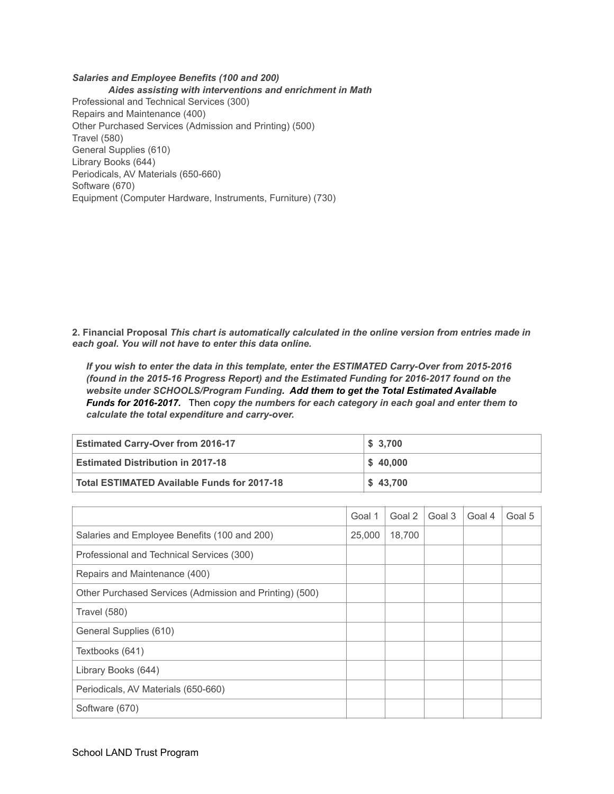*Salaries and Employee Benefits (100 and 200) Aides assisting with interventions and enrichment in Math*  Professional and Technical Services (300) Repairs and Maintenance (400) Other Purchased Services (Admission and Printing) (500) Travel (580) General Supplies (610) Library Books (644) Periodicals, AV Materials (650-660) Software (670) Equipment (Computer Hardware, Instruments, Furniture) (730)

**2. Financial Proposal** *This chart is automatically calculated in the online version from entries made in each goal***.** *You will not have to enter this data online.* 

*If you wish to enter the data in this template, enter the ESTIMATED Carry-Over from 2015-2016 (found in the 2015-16 Progress Report) and the Estimated Funding for 2016-2017 found on the website under SCHOOLS/Program Funding. Add them to get the Total Estimated Available Funds for 2016-2017.* Then *copy the numbers for each category in each goal and enter them to calculate the total expenditure and carry-over.* 

| <b>Estimated Carry-Over from 2016-17</b>    | \$3,700              |
|---------------------------------------------|----------------------|
| <b>Estimated Distribution in 2017-18</b>    | $\frac{1}{2}$ 40,000 |
| Total ESTIMATED Available Funds for 2017-18 | \$43,700             |

|                                                         | Goal 1 | Goal 2 | Goal 3 | Goal 4 | Goal 5 |
|---------------------------------------------------------|--------|--------|--------|--------|--------|
| Salaries and Employee Benefits (100 and 200)            | 25,000 | 18,700 |        |        |        |
| Professional and Technical Services (300)               |        |        |        |        |        |
| Repairs and Maintenance (400)                           |        |        |        |        |        |
| Other Purchased Services (Admission and Printing) (500) |        |        |        |        |        |
| Travel (580)                                            |        |        |        |        |        |
| General Supplies (610)                                  |        |        |        |        |        |
| Textbooks (641)                                         |        |        |        |        |        |
| Library Books (644)                                     |        |        |        |        |        |
| Periodicals, AV Materials (650-660)                     |        |        |        |        |        |
| Software (670)                                          |        |        |        |        |        |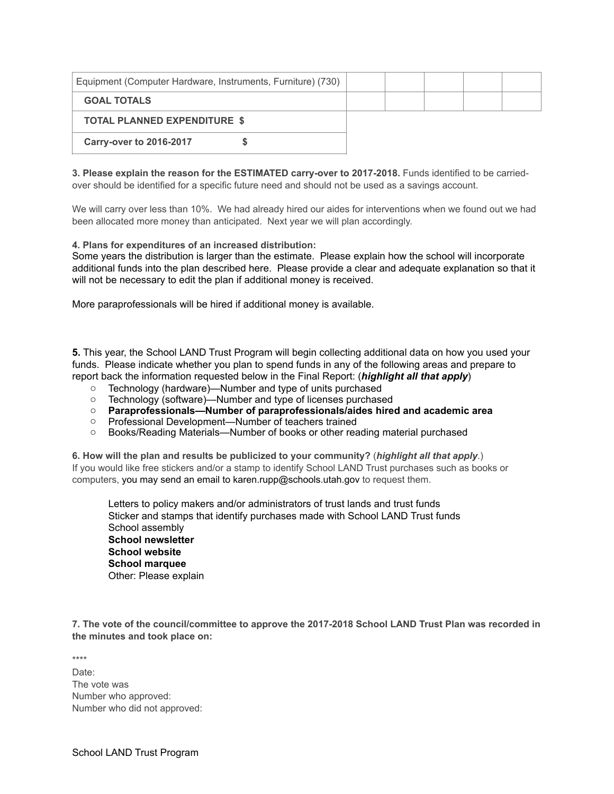| Equipment (Computer Hardware, Instruments, Furniture) (730) |  |  |  |
|-------------------------------------------------------------|--|--|--|
| <b>GOAL TOTALS</b>                                          |  |  |  |
| <b>TOTAL PLANNED EXPENDITURE \$</b>                         |  |  |  |
| <b>Carry-over to 2016-2017</b>                              |  |  |  |

**3. Please explain the reason for the ESTIMATED carry-over to 2017-2018.** Funds identified to be carriedover should be identified for a specific future need and should not be used as a savings account.

We will carry over less than 10%. We had already hired our aides for interventions when we found out we had been allocated more money than anticipated. Next year we will plan accordingly.

**4. Plans for expenditures of an increased distribution:**

Some years the distribution is larger than the estimate. Please explain how the school will incorporate additional funds into the plan described here. Please provide a clear and adequate explanation so that it will not be necessary to edit the plan if additional money is received.

More paraprofessionals will be hired if additional money is available.

**5.** This year, the School LAND Trust Program will begin collecting additional data on how you used your funds. Please indicate whether you plan to spend funds in any of the following areas and prepare to report back the information requested below in the Final Report: (*highlight all that apply*)

- o Technology (hardware)—Number and type of units purchased
- o Technology (software)—Number and type of licenses purchased
- o **Paraprofessionals—Number of paraprofessionals/aides hired and academic area**
- o Professional Development—Number of teachers trained
- o Books/Reading Materials—Number of books or other reading material purchased

**6. How will the plan and results be publicized to your community?** (*highlight all that apply*.) If you would like free stickers and/or a stamp to identify School LAND Trust purchases such as books or computers, you may send an email to karen.rupp@schools.utah.gov to request them.

Letters to policy makers and/or administrators of trust lands and trust funds Sticker and stamps that identify purchases made with School LAND Trust funds School assembly **School newsletter School website School marquee**  Other: Please explain

**7. The vote of the council/committee to approve the 2017-2018 School LAND Trust Plan was recorded in the minutes and took place on:**

\*\*\*\*

Date: The vote was Number who approved: Number who did not approved: